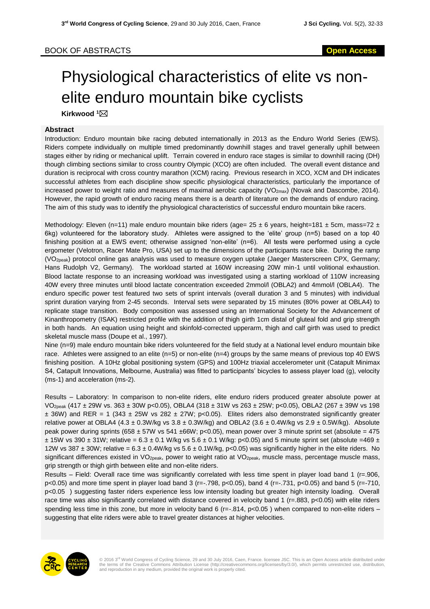## BOOK OF ABSTRACTS **Open Access**

## Physiological characteristics of elite vs nonelite enduro mountain bike cyclists

**Kirkwood <sup>1</sup>**

## **Abstract**

Introduction: Enduro mountain bike racing debuted internationally in 2013 as the Enduro World Series (EWS). Riders compete individually on multiple timed predominantly downhill stages and travel generally uphill between stages either by riding or mechanical uplift. Terrain covered in enduro race stages is similar to downhill racing (DH) though climbing sections similar to cross country Olympic (XCO) are often included. The overall event distance and duration is reciprocal with cross country marathon (XCM) racing. Previous research in XCO, XCM and DH indicates successful athletes from each discipline show specific physiological characteristics, particularly the importance of increased power to weight ratio and measures of maximal aerobic capacity (VO<sub>2max</sub>) (Novak and Dascombe, 2014). However, the rapid growth of enduro racing means there is a dearth of literature on the demands of enduro racing. The aim of this study was to identify the physiological characteristics of successful enduro mountain bike racers.

Methodology: Eleven (n=11) male enduro mountain bike riders (age=  $25 \pm 6$  years, height=181  $\pm$  5cm, mass=72  $\pm$ 6kg) volunteered for the laboratory study. Athletes were assigned to the 'elite' group (n=5) based on a top 40 finishing position at a EWS event; otherwise assigned 'non-elite' (n=6). All tests were performed using a cycle ergometer (Velotron, Racer Mate Pro, USA) set up to the dimensions of the participants race bike. During the ramp (VO2peak) protocol online gas analysis was used to measure oxygen uptake (Jaeger Masterscreen CPX, Germany; Hans Rudolph V2, Germany). The workload started at 160W increasing 20W min-1 until volitional exhaustion. Blood lactate response to an increasing workload was investigated using a starting workload of 110W increasing 40W every three minutes until blood lactate concentration exceeded 2mmol/l (OBLA2) and 4mmol/l (OBLA4). The enduro specific power test featured two sets of sprint intervals (overall duration 3 and 5 minutes) with individual sprint duration varying from 2-45 seconds. Interval sets were separated by 15 minutes (80% power at OBLA4) to replicate stage transition. Body composition was assessed using an International Society for the Advancement of Kinanthropometry (ISAK) restricted profile with the addition of thigh girth 1cm distal of gluteal fold and grip strength in both hands. An equation using height and skinfold-corrected upperarm, thigh and calf girth was used to predict skeletal muscle mass (Doupe et al., 1997).

Nine (n=9) male enduro mountain bike riders volunteered for the field study at a National level enduro mountain bike race. Athletes were assigned to an elite (n=5) or non-elite (n=4) groups by the same means of previous top 40 EWS finishing position. A 10Hz global positioning system (GPS) and 100Hz triaxial accelerometer unit (Catapult Minimax S4, Catapult Innovations, Melbourne, Australia) was fitted to participants' bicycles to assess player load (g), velocity (ms-1) and acceleration (ms-2).

Results – Laboratory: In comparison to non-elite riders, elite enduro riders produced greater absolute power at VO2peak (417 ± 29W vs. 363 ± 30W p<0.05), OBLA4 (318 ± 31W vs 263 ± 25W; p<0.05), OBLA2 (267 ± 39W vs 198  $\pm$  36W) and RER = 1 (343  $\pm$  25W vs 282  $\pm$  27W; p<0.05). Elites riders also demonstrated significantly greater relative power at OBLA4 (4.3  $\pm$  0.3W/kg vs 3.8  $\pm$  0.3W/kg) and OBLA2 (3.6  $\pm$  0.4W/kg vs 2.9  $\pm$  0.5W/kg). Absolute peak power during sprints (658 ± 57W vs 541 ±66W; p<0.05), mean power over 3 minute sprint set (absolute = 475  $\pm$  15W vs 390  $\pm$  31W; relative = 6.3  $\pm$  0.1 W/kg vs 5.6  $\pm$  0.1 W/kg: p<0.05) and 5 minute sprint set (absolute =469  $\pm$ 12W vs 387  $\pm$  30W; relative = 6.3  $\pm$  0.4W/kg vs 5.6  $\pm$  0.1W/kg, p<0.05) was significantly higher in the elite riders. No significant differences existed in VO<sub>2peak</sub>, power to weight ratio at VO<sub>2peak</sub>, muscle mass, percentage muscle mass, grip strength or thigh girth between elite and non-elite riders.

Results – Field: Overall race time was significantly correlated with less time spent in player load band 1 (r=.906, p<0.05) and more time spent in player load band 3 (r=-.798, p<0.05), band 4 (r=-.731, p<0.05) and band 5 (r=-710, p<0.05 ) suggesting faster riders experience less low intensity loading but greater high intensity loading. Overall race time was also significantly correlated with distance covered in velocity band 1 (r=.883, p<0.05) with elite riders spending less time in this zone, but more in velocity band 6 ( $r=-.814$ ,  $p<0.05$ ) when compared to non-elite riders – suggesting that elite riders were able to travel greater distances at higher velocities.